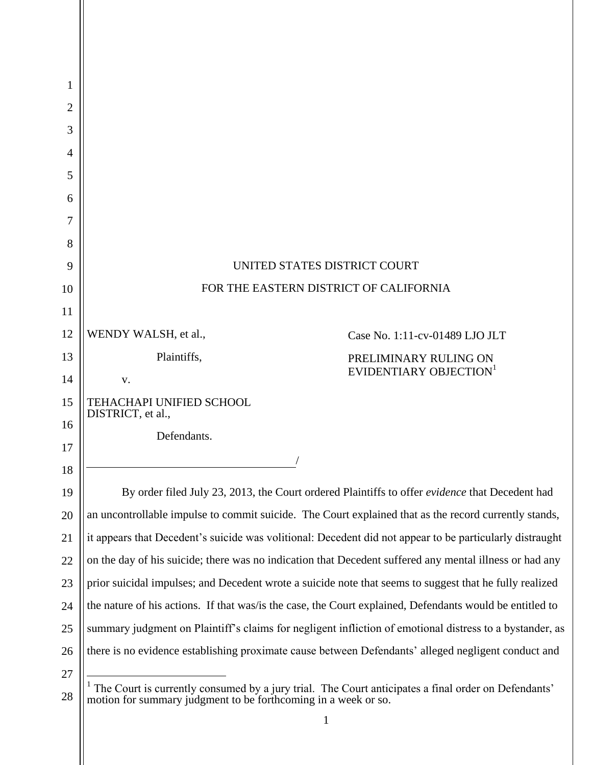| 1              |                                                                |                                                                                                          |
|----------------|----------------------------------------------------------------|----------------------------------------------------------------------------------------------------------|
| 2              |                                                                |                                                                                                          |
| 3              |                                                                |                                                                                                          |
| $\overline{4}$ |                                                                |                                                                                                          |
| 5              |                                                                |                                                                                                          |
| 6              |                                                                |                                                                                                          |
| 7              |                                                                |                                                                                                          |
| 8              |                                                                |                                                                                                          |
| 9              |                                                                | UNITED STATES DISTRICT COURT                                                                             |
| 10             |                                                                | FOR THE EASTERN DISTRICT OF CALIFORNIA                                                                   |
| 11             |                                                                |                                                                                                          |
| 12             | WENDY WALSH, et al.,                                           | Case No. 1:11-cv-01489 LJO JLT                                                                           |
| 13             | Plaintiffs,                                                    | PRELIMINARY RULING ON                                                                                    |
| 14             | V.                                                             | EVIDENTIARY OBJECTION <sup>1</sup>                                                                       |
| 15             | TEHACHAPI UNIFIED SCHOOL<br>DISTRICT, et al.,                  |                                                                                                          |
| 16             | Defendants.                                                    |                                                                                                          |
| 17             |                                                                |                                                                                                          |
| 18             |                                                                |                                                                                                          |
| 19             |                                                                | By order filed July 23, 2013, the Court ordered Plaintiffs to offer evidence that Decedent had           |
| 20             |                                                                | an uncontrollable impulse to commit suicide. The Court explained that as the record currently stands,    |
| 21             |                                                                | it appears that Decedent's suicide was volitional: Decedent did not appear to be particularly distraught |
| 22             |                                                                | on the day of his suicide; there was no indication that Decedent suffered any mental illness or had any  |
| 23             |                                                                | prior suicidal impulses; and Decedent wrote a suicide note that seems to suggest that he fully realized  |
| 24             |                                                                | the nature of his actions. If that was/is the case, the Court explained, Defendants would be entitled to |
| 25             |                                                                | summary judgment on Plaintiff's claims for negligent infliction of emotional distress to a bystander, as |
| 26             |                                                                | there is no evidence establishing proximate cause between Defendants' alleged negligent conduct and      |
| 27             |                                                                |                                                                                                          |
| 28             | motion for summary judgment to be forthcoming in a week or so. | The Court is currently consumed by a jury trial. The Court anticipates a final order on Defendants'      |

<sup>1</sup>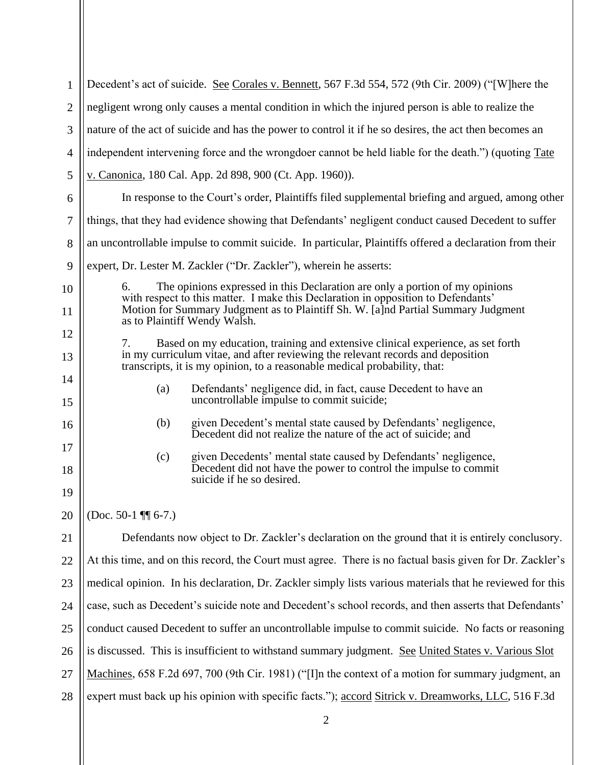| $\mathbf{1}$   | Decedent's act of suicide. See Corales v. Bennett, 567 F.3d 554, 572 (9th Cir. 2009) ("[W]here the                                                                      |  |
|----------------|-------------------------------------------------------------------------------------------------------------------------------------------------------------------------|--|
| $\overline{2}$ | negligent wrong only causes a mental condition in which the injured person is able to realize the                                                                       |  |
| 3              | nature of the act of suicide and has the power to control it if he so desires, the act then becomes an                                                                  |  |
| $\overline{4}$ | independent intervening force and the wrongdoer cannot be held liable for the death.") (quoting Tate                                                                    |  |
| 5              | v. Canonica, 180 Cal. App. 2d 898, 900 (Ct. App. 1960)).                                                                                                                |  |
| 6              | In response to the Court's order, Plaintiffs filed supplemental briefing and argued, among other                                                                        |  |
| $\tau$         | things, that they had evidence showing that Defendants' negligent conduct caused Decedent to suffer                                                                     |  |
| 8              | an uncontrollable impulse to commit suicide. In particular, Plaintiffs offered a declaration from their                                                                 |  |
| 9              | expert, Dr. Lester M. Zackler ("Dr. Zackler"), wherein he asserts:                                                                                                      |  |
| 10             | The opinions expressed in this Declaration are only a portion of my opinions<br>6.<br>with respect to this matter. I make this Declaration in opposition to Defendants' |  |
| 11             | Motion for Summary Judgment as to Plaintiff Sh. W. [a]nd Partial Summary Judgment<br>as to Plaintiff Wendy Walsh.                                                       |  |
| 12             | Based on my education, training and extensive clinical experience, as set forth<br>7.                                                                                   |  |
| 13             | in my curriculum vitae, and after reviewing the relevant records and deposition<br>transcripts, it is my opinion, to a reasonable medical probability, that:            |  |
| 14             | Defendants' negligence did, in fact, cause Decedent to have an<br>(a)                                                                                                   |  |
| 15             | uncontrollable impulse to commit suicide;                                                                                                                               |  |
| 16             | given Decedent's mental state caused by Defendants' negligence,<br>(b)<br>Decedent did not realize the nature of the act of suicide; and                                |  |
| 17             | given Decedents' mental state caused by Defendants' negligence,<br>(c)                                                                                                  |  |
| 18             | Decedent did not have the power to control the impulse to commit<br>suicide if he so desired.                                                                           |  |
| 19             |                                                                                                                                                                         |  |
| 20             | (Doc. 50-1 $\P$ 6-7.)                                                                                                                                                   |  |
| 21             | Defendants now object to Dr. Zackler's declaration on the ground that it is entirely conclusory.                                                                        |  |
| 22             | At this time, and on this record, the Court must agree. There is no factual basis given for Dr. Zackler's                                                               |  |
| 23             | medical opinion. In his declaration, Dr. Zackler simply lists various materials that he reviewed for this                                                               |  |
| 24             | case, such as Decedent's suicide note and Decedent's school records, and then asserts that Defendants'                                                                  |  |
| 25             | conduct caused Decedent to suffer an uncontrollable impulse to commit suicide. No facts or reasoning                                                                    |  |
| 26             | is discussed. This is insufficient to withstand summary judgment. See United States v. Various Slot                                                                     |  |
| 27             | Machines, 658 F.2d 697, 700 (9th Cir. 1981) ("[I]n the context of a motion for summary judgment, an                                                                     |  |
| 28             | expert must back up his opinion with specific facts."); accord Sitrick v. Dreamworks, LLC, 516 F.3d                                                                     |  |
|                |                                                                                                                                                                         |  |